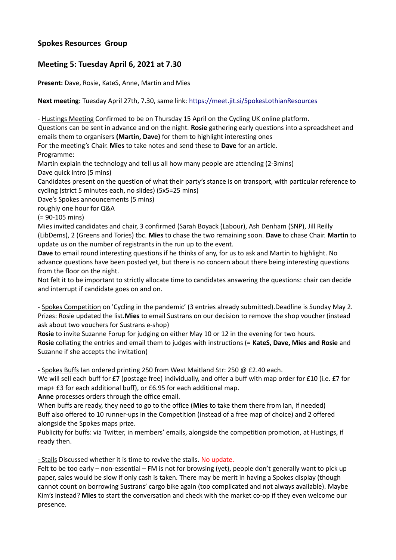## **Spokes Resources Group**

# **Meeting 5: Tuesday April 6, 2021 at 7.30**

**Present:** Dave, Rosie, KateS, Anne, Martin and Mies

**Next meeting:** Tuesday April 27th, 7.30, same link:<https://meet.jit.si/SpokesLothianResources>

- Hustings Meeting Confirmed to be on Thursday 15 April on the Cycling UK online platform.

Questions can be sent in advance and on the night. **Rosie** gathering early questions into a spreadsheet and emails them to organisers **(Martin, Dave)** for them to highlight interesting ones

For the meeting's Chair. **Mies** to take notes and send these to **Dave** for an article. Programme:

Martin explain the technology and tell us all how many people are attending (2-3mins) Dave quick intro (5 mins)

Candidates present on the question of what their party's stance is on transport, with particular reference to cycling (strict 5 minutes each, no slides) (5x5=25 mins)

Dave's Spokes announcements (5 mins)

roughly one hour for Q&A

(= 90-105 mins)

Mies invited candidates and chair, 3 confirmed (Sarah Boyack (Labour), Ash Denham (SNP), Jill Reilly (LibDems), 2 (Greens and Tories) tbc. **Mies** to chase the two remaining soon. **Dave** to chase Chair. **Martin** to update us on the number of registrants in the run up to the event.

**Dave** to email round interesting questions if he thinks of any, for us to ask and Martin to highlight. No advance questions have been posted yet, but there is no concern about there being interesting questions from the floor on the night.

Not felt it to be important to strictly allocate time to candidates answering the questions: chair can decide and interrupt if candidate goes on and on.

- Spokes Competition on 'Cycling in the pandemic' (3 entries already submitted).Deadline is Sunday May 2. Prizes: Rosie updated the list.**Mies** to email Sustrans on our decision to remove the shop voucher (instead ask about two vouchers for Sustrans e-shop)

**Rosie** to invite Suzanne Forup for judging on either May 10 or 12 in the evening for two hours. **Rosie** collating the entries and email them to judges with instructions (= **KateS, Dave, Mies and Rosie** and Suzanne if she accepts the invitation)

- Spokes Buffs Ian ordered printing 250 from West Maitland Str: 250 @ £2.40 each.

We will sell each buff for £7 (postage free) individually, and offer a buff with map order for £10 (i.e. £7 for map+ £3 for each additional buff), or £6.95 for each additional map.

**Anne** processes orders through the office email.

When buffs are ready, they need to go to the office (**Mies** to take them there from Ian, if needed) Buff also offered to 10 runner-ups in the Competition (instead of a free map of choice) and 2 offered alongside the Spokes maps prize.

Publicity for buffs: via Twitter, in members' emails, alongside the competition promotion, at Hustings, if ready then.

- Stalls Discussed whether it is time to revive the stalls. No update.

Felt to be too early – non-essential – FM is not for browsing (yet), people don't generally want to pick up paper, sales would be slow if only cash is taken. There may be merit in having a Spokes display (though cannot count on borrowing Sustrans' cargo bike again (too complicated and not always available). Maybe Kim's instead? **Mies** to start the conversation and check with the market co-op if they even welcome our presence.